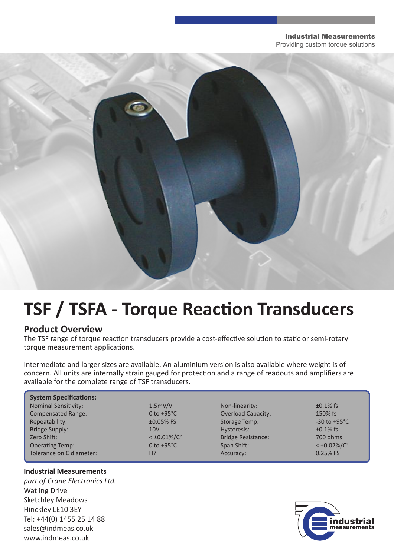#### Industrial Measurements Providing custom torque solutions

# **TSF / TSFA - Torque Reaction Transducers**

## **Product Overview**

The TSF range of torque reaction transducers provide a cost-effective solution to static or semi-rotary torque measurement applications.

Intermediate and larger sizes are available. An aluminium version is also available where weight is of concern. All units are internally strain gauged for protection and a range of readouts and amplifiers are available for the complete range of TSF transducers.

| <b>System Specifications:</b> |                         |                           |                          |
|-------------------------------|-------------------------|---------------------------|--------------------------|
| <b>Nominal Sensitivity:</b>   | 1.5mV/V                 | Non-linearity:            | $\pm 0.1\%$ fs           |
| <b>Compensated Range:</b>     | 0 to $+95^{\circ}$ C    | <b>Overload Capacity:</b> | 150% fs                  |
| Repeatability:                | $±0.05%$ FS             | Storage Temp:             | $-30$ to $+95^{\circ}$ C |
| <b>Bridge Supply:</b>         | 10 <sub>V</sub>         | Hysteresis:               | $\pm 0.1\%$ fs           |
| Zero Shift:                   | $<$ ±0.01%/ $C^{\circ}$ | <b>Bridge Resistance:</b> | 700 ohms                 |
| <b>Operating Temp:</b>        | 0 to $+95^{\circ}$ C    | Span Shift:               | $<\pm 0.02\%/C^{\circ}$  |
| Tolerance on C diameter:      | H7                      | Accuracy:                 | $0.25%$ FS               |

## **Industrial Measurements**

*part of Crane Electronics Ltd.* Watling Drive Sketchley Meadows Hinckley LE10 3EY Tel: +44(0) 1455 25 14 88 sales@indmeas.co.uk www.indmeas.co.uk